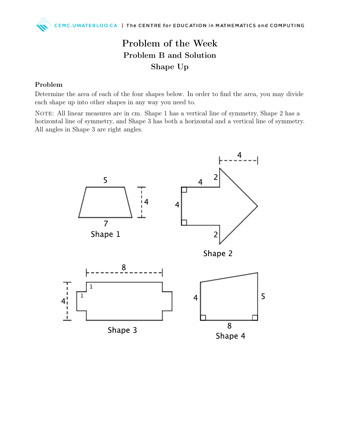# Problem of the Week Problem B and Solution Shape Up

#### Problem

Determine the area of each of the four shapes below. In order to find the area, you may divide each shape up into other shapes in any way you need to.

NOTE: All linear measures are in cm. Shape 1 has a vertical line of symmetry, Shape 2 has a horizontal line of symmetry, and Shape 3 has both a horizontal and a vertical line of symmetry. All angles in Shape 3 are right angles.

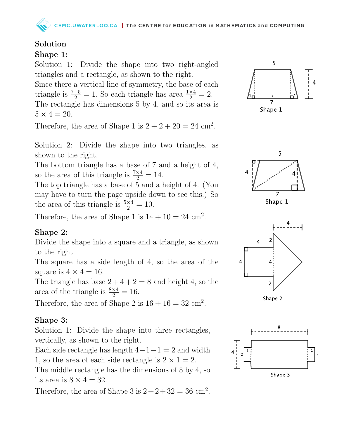## Solution

#### Shape 1:

Solution 1: Divide the shape into two right-angled triangles and a rectangle, as shown to the right.

Since there a vertical line of symmetry, the base of each triangle is  $\frac{7-5}{2} = 1$ . So each triangle has area  $\frac{1 \times 4}{2} = 2$ . The rectangle has dimensions 5 by 4, and so its area is  $5 \times 4 = 20$ .

Therefore, the area of Shape 1 is  $2 + 2 + 20 = 24$  cm<sup>2</sup>.

Solution 2: Divide the shape into two triangles, as shown to the right.

The bottom triangle has a base of 7 and a height of 4, so the area of this triangle is  $\frac{7\times4}{2} = 14$ .

The top triangle has a base of 5 and a height of 4. (You may have to turn the page upside down to see this.) So the area of this triangle is  $\frac{5\times4}{2} = 10$ .

Therefore, the area of Shape 1 is  $14 + 10 = 24$  cm<sup>2</sup>.

### Shape 2:

Divide the shape into a square and a triangle, as shown to the right.

The square has a side length of 4, so the area of the square is  $4 \times 4 = 16$ .

The triangle has base  $2+4+2=8$  and height 4, so the area of the triangle is  $\frac{8\times4}{2} = 16$ .

Therefore, the area of Shape 2 is  $16 + 16 = 32$  cm<sup>2</sup>.

### Shape 3:

Solution 1: Divide the shape into three rectangles, vertically, as shown to the right.

Each side rectangle has length  $4-1-1=2$  and width 1, so the area of each side rectangle is  $2 \times 1 = 2$ .

The middle rectangle has the dimensions of 8 by 4, so its area is  $8 \times 4 = 32$ .

Therefore, the area of Shape 3 is  $2+2+32=36$  cm<sup>2</sup>.